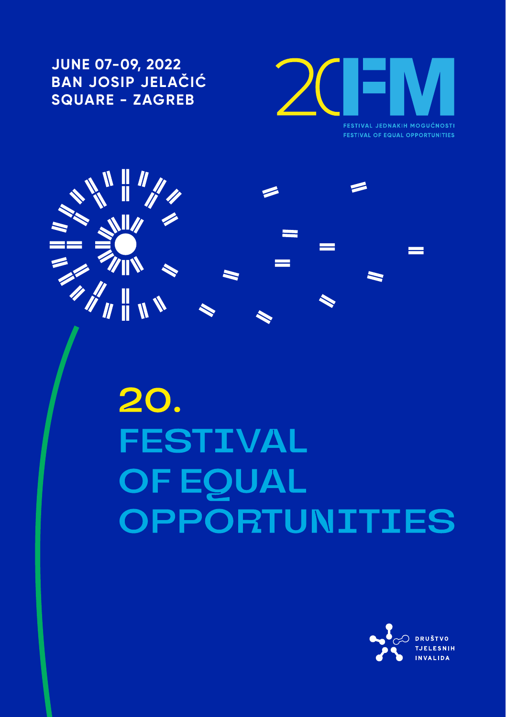**JUNE 07-09, 2022 BAN JOSIP JELAČIĆ SQUARE - ZAGREB**



**FESTIVAL OF EQUAL OPPORTUNITIES** 



20. **FESTIVAL EQUAL** F. **PPORTUNITIES** 

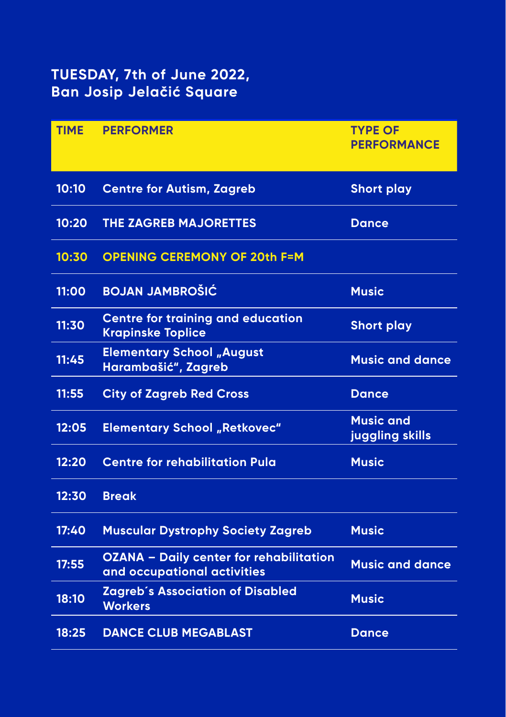# **TUESDAY, 7th of June 2022, Ban Josip Jelačić Square**

| <b>TIME</b> | <b>PERFORMER</b>                                                              | <b>TYPE OF</b><br><b>PERFORMANCE</b> |
|-------------|-------------------------------------------------------------------------------|--------------------------------------|
| 10:10       | <b>Centre for Autism, Zagreb</b>                                              | <b>Short play</b>                    |
| 10:20       | <b>THE ZAGREB MAJORETTES</b>                                                  | <b>Dance</b>                         |
| 10:30       | <b>OPENING CEREMONY OF 20th F=M</b>                                           |                                      |
| 11:00       | <b>BOJAN JAMBROŠIĆ</b>                                                        | <b>Music</b>                         |
| 11:30       | <b>Centre for training and education</b><br><b>Krapinske Toplice</b>          | <b>Short play</b>                    |
| 11:45       | <b>Elementary School "August</b><br>Harambašić", Zagreb                       | <b>Music and dance</b>               |
| 11:55       | <b>City of Zagreb Red Cross</b>                                               | <b>Dance</b>                         |
| 12:05       | <b>Elementary School "Retkovec"</b>                                           | <b>Music and</b><br>juggling skills  |
| 12:20       | <b>Centre for rehabilitation Pula</b>                                         | <b>Music</b>                         |
| 12:30       | <b>Break</b>                                                                  |                                      |
| 17:40       | <b>Muscular Dystrophy Society Zagreb</b>                                      | <b>Music</b>                         |
| 17:55       | <b>OZANA - Daily center for rehabilitation</b><br>and occupational activities | <b>Music and dance</b>               |
| 18:10       | <b>Zagreb's Association of Disabled</b><br><b>Workers</b>                     | <b>Music</b>                         |
| 18:25       | <b>DANCE CLUB MEGABLAST</b>                                                   | <b>Dance</b>                         |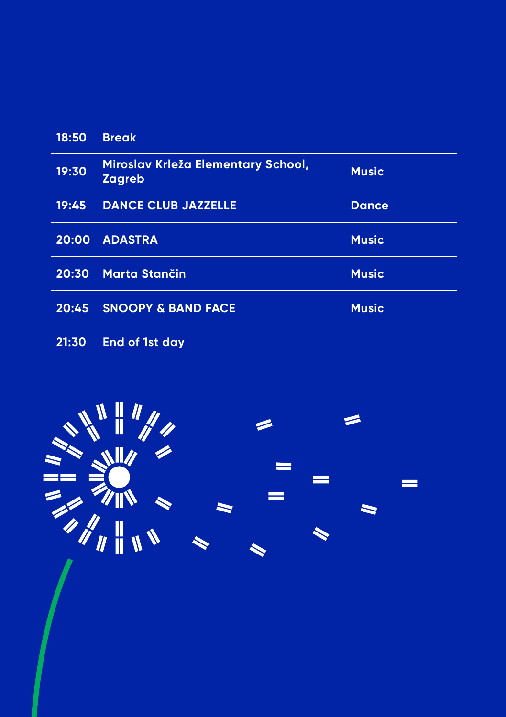| 18:50 | <b>Break</b>                                 |              |
|-------|----------------------------------------------|--------------|
| 19:30 | Miroslav Krleža Elementary School,<br>Zagreb | <b>Music</b> |
| 19:45 | <b>DANCE CLUB JAZZELLE</b>                   | <b>Dance</b> |
| 20:00 | <b>ADASTRA</b>                               | <b>Music</b> |
| 20:30 | <b>Marta Stančin</b>                         | <b>Music</b> |
| 20:45 | <b>SNOOPY &amp; BAND FACE</b>                | <b>Music</b> |
| 21:30 | End of 1st day                               |              |

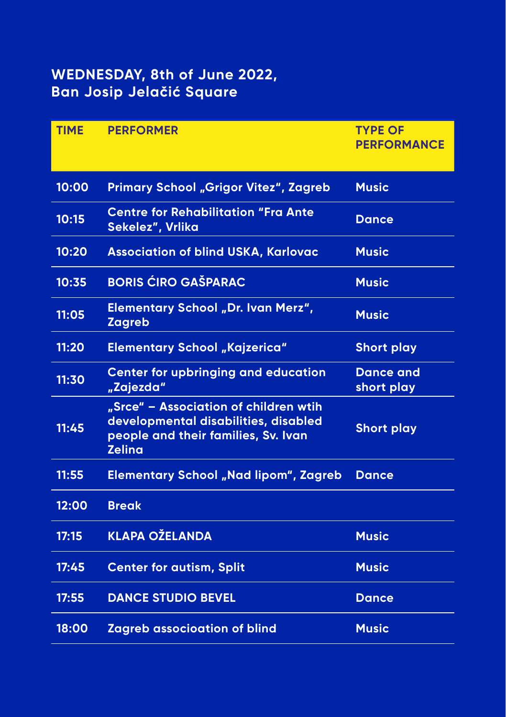# **WEDNESDAY, 8th of June 2022, Ban Josip Jelačić Square**

| <b>TIME</b> | <b>PERFORMER</b>                                                                                                                      | <b>TYPE OF</b><br><b>PERFORMANCE</b> |
|-------------|---------------------------------------------------------------------------------------------------------------------------------------|--------------------------------------|
| 10:00       | Primary School "Grigor Vitez", Zagreb                                                                                                 | <b>Music</b>                         |
| 10:15       | <b>Centre for Rehabilitation "Fra Ante</b><br>Sekelez", Vrlika                                                                        | <b>Dance</b>                         |
| 10:20       | <b>Association of blind USKA, Karlovac</b>                                                                                            | <b>Music</b>                         |
| 10:35       | <b>BORIS ĆIRO GAŠPARAC</b>                                                                                                            | <b>Music</b>                         |
| 11:05       | Elementary School "Dr. Ivan Merz",<br><b>Zagreb</b>                                                                                   | <b>Music</b>                         |
| 11:20       | <b>Elementary School "Kajzerica"</b>                                                                                                  | <b>Short play</b>                    |
| 11:30       | <b>Center for upbringing and education</b><br>"Zajezda"                                                                               | <b>Dance and</b><br>short play       |
| 11:45       | "Srce" - Association of children wtih<br>developmental disabilities, disabled<br>people and their families, Sv. Ivan<br><b>Zelina</b> | <b>Short play</b>                    |
| 11:55       | <b>Elementary School "Nad lipom", Zagreb</b>                                                                                          | <b>Dance</b>                         |
| 12:00       | <b>Break</b>                                                                                                                          |                                      |
| 17:15       | <b>KLAPA OŽELANDA</b>                                                                                                                 | <b>Music</b>                         |
| 17:45       | <b>Center for autism, Split</b>                                                                                                       | <b>Music</b>                         |
| 17:55       | <b>DANCE STUDIO BEVEL</b>                                                                                                             | <b>Dance</b>                         |
| 18:00       | <b>Zagreb associoation of blind</b>                                                                                                   | <b>Music</b>                         |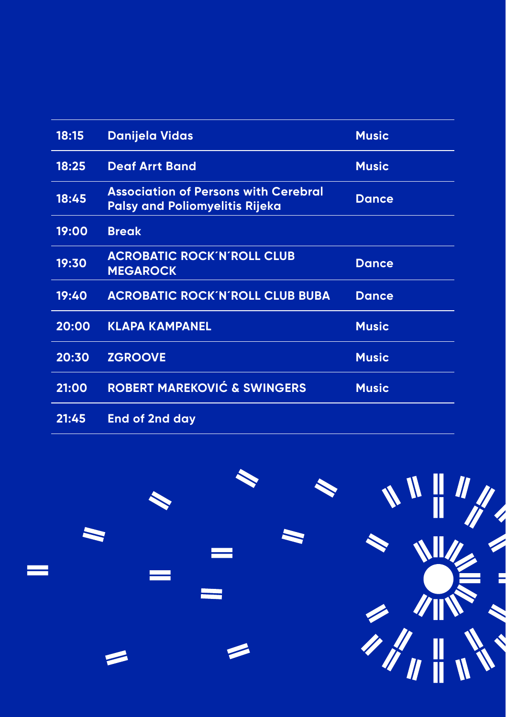| 18:15 | <b>Danijela Vidas</b>                                                                | <b>Music</b> |
|-------|--------------------------------------------------------------------------------------|--------------|
| 18:25 | <b>Deaf Arrt Band</b>                                                                | <b>Music</b> |
| 18:45 | <b>Association of Persons with Cerebral</b><br><b>Palsy and Poliomyelitis Rijeka</b> | <b>Dance</b> |
| 19:00 | <b>Break</b>                                                                         |              |
| 19:30 | <b>ACROBATIC ROCK'N'ROLL CLUB</b><br><b>MEGAROCK</b>                                 | <b>Dance</b> |
| 19:40 | <b>ACROBATIC ROCK'N'ROLL CLUB BUBA</b>                                               | <b>Dance</b> |
| 20:00 | <b>KLAPA KAMPANEL</b>                                                                | <b>Music</b> |
| 20:30 | <b>ZGROOVE</b>                                                                       | <b>Music</b> |
| 21:00 | <b>ROBERT MAREKOVIĆ &amp; SWINGERS</b>                                               | <b>Music</b> |
| 21:45 | <b>End of 2nd day</b>                                                                |              |

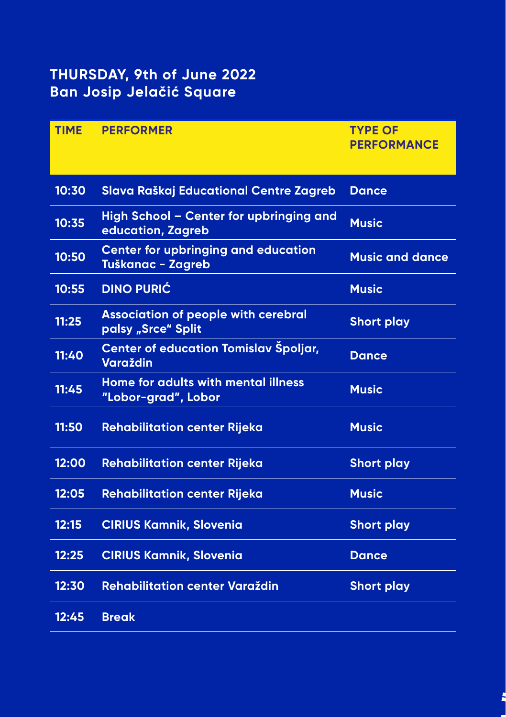# **THURSDAY, 9th of June 2022 Ban Josip Jelačić Square**

| <b>TIME</b> | <b>PERFORMER</b>                                                 | <b>TYPE OF</b><br><b>PERFORMANCE</b> |
|-------------|------------------------------------------------------------------|--------------------------------------|
| 10:30       | Slava Raškaj Educational Centre Zagreb                           | <b>Dance</b>                         |
| 10:35       | High School - Center for upbringing and<br>education, Zagreb     | <b>Music</b>                         |
| 10:50       | <b>Center for upbringing and education</b><br>Tuškanac - Zagreb  | <b>Music and dance</b>               |
| 10:55       | <b>DINO PURIĆ</b>                                                | <b>Music</b>                         |
| 11:25       | <b>Association of people with cerebral</b><br>palsy "Srce" Split | <b>Short play</b>                    |
| 11:40       | Center of education Tomislav Špoljar,<br><b>Varaždin</b>         | <b>Dance</b>                         |
| 11:45       | Home for adults with mental illness<br>"Lobor-grad", Lobor       | <b>Music</b>                         |
| 11:50       | <b>Rehabilitation center Rijeka</b>                              | <b>Music</b>                         |
| 12:00       | <b>Rehabilitation center Rijeka</b>                              | <b>Short play</b>                    |
| 12:05       | <b>Rehabilitation center Rijeka</b>                              | <b>Music</b>                         |
| 12:15       | <b>CIRIUS Kamnik, Slovenia</b>                                   | <b>Short play</b>                    |
| 12:25       | <b>CIRIUS Kamnik, Slovenia</b>                                   | <b>Dance</b>                         |
| 12:30       | Rehabilitation center Varaždin                                   | <b>Short play</b>                    |
| 12:45       | <b>Break</b>                                                     |                                      |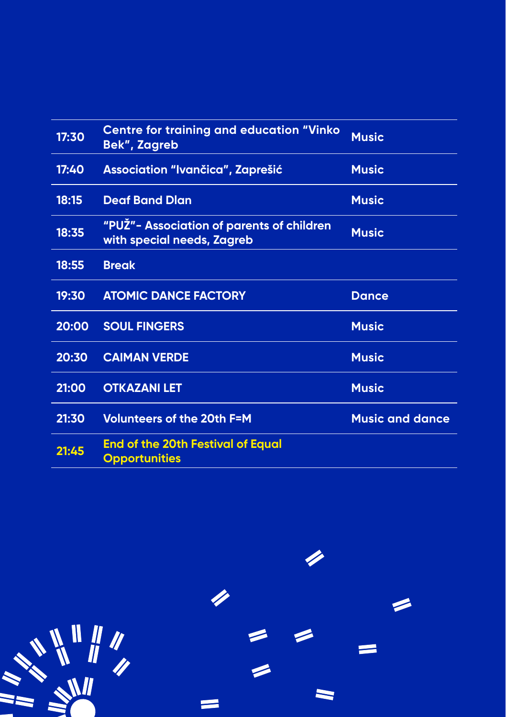| 17:30 | <b>Centre for training and education "Vinko</b><br>Bek", Zagreb         | <b>Music</b>           |
|-------|-------------------------------------------------------------------------|------------------------|
| 17:40 | <b>Association "Ivančica", Zaprešić</b>                                 | <b>Music</b>           |
| 18:15 | <b>Deaf Band Dlan</b>                                                   | <b>Music</b>           |
| 18:35 | "PUŽ"- Association of parents of children<br>with special needs, Zagreb | <b>Music</b>           |
| 18:55 | <b>Break</b>                                                            |                        |
| 19:30 | <b>ATOMIC DANCE FACTORY</b>                                             | <b>Dance</b>           |
| 20:00 | <b>SOUL FINGERS</b>                                                     | <b>Music</b>           |
| 20:30 | <b>CAIMAN VERDE</b>                                                     | <b>Music</b>           |
| 21:00 | <b>OTKAZANI LET</b>                                                     | <b>Music</b>           |
| 21:30 | <b>Volunteers of the 20th F=M</b>                                       | <b>Music and dance</b> |
| 21:45 | <b>End of the 20th Festival of Equal</b><br><b>Opportunities</b>        |                        |

 $\equiv$  $\blacksquare$  $\equiv$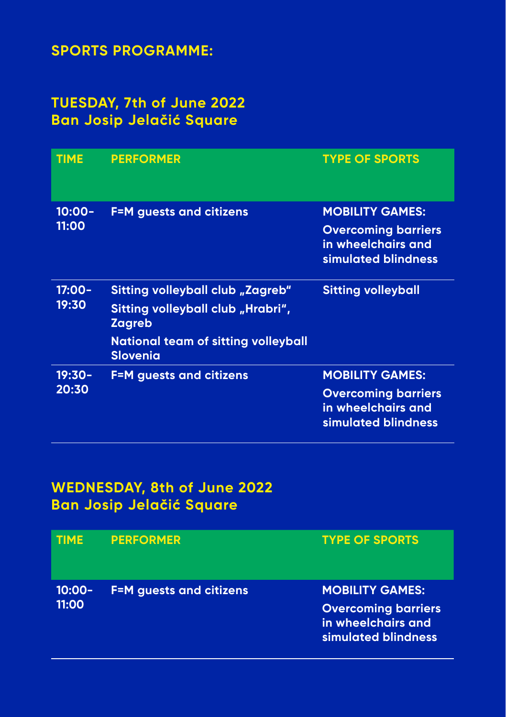## **SPORTS PROGRAMME:**

## **TUESDAY, 7th of June 2022 Ban Josip Jelačić Square**

| <b>TIME</b>        | <b>PERFORMER</b>                                                                                                                                        | <b>TYPE OF SPORTS</b>                                                                                    |
|--------------------|---------------------------------------------------------------------------------------------------------------------------------------------------------|----------------------------------------------------------------------------------------------------------|
| $10:00 -$<br>11:00 | <b>F=M</b> guests and citizens                                                                                                                          | <b>MOBILITY GAMES:</b><br><b>Overcoming barriers</b><br><u>in wheelchairs and</u><br>simulated blindness |
| 17:00-<br>19:30    | Sitting volleyball club "Zagreb"<br>Sitting volleyball club "Hrabri",<br><b>Zagreb</b><br><b>National team of sitting volleyball</b><br><b>Slovenia</b> | <b>Sitting volleyball</b>                                                                                |
| $19:30-$<br>20:30  | <b>F=M</b> guests and citizens                                                                                                                          | <b>MOBILITY GAMES:</b><br><b>Overcoming barriers</b><br>in wheelchairs and<br>simulated blindness        |

## **WEDNESDAY, 8th of June 2022 Ban Josip Jelačić Square**

| <b>TIME</b>        | <b>PERFORMER</b>               | <b>TYPE OF SPORTS</b>                                                                             |
|--------------------|--------------------------------|---------------------------------------------------------------------------------------------------|
| $10:00 -$<br>11:00 | <b>F=M</b> guests and citizens | <b>MOBILITY GAMES:</b><br><b>Overcoming barriers</b><br>in wheelchairs and<br>simulated blindness |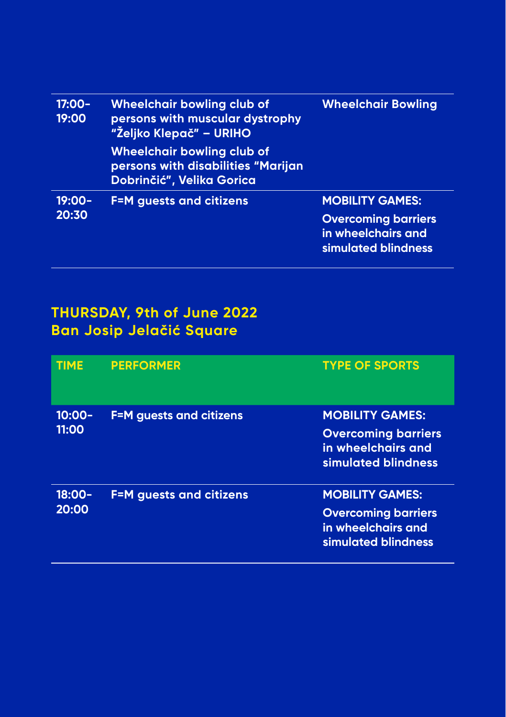| $17:00 -$<br>19:00 | Wheelchair bowling club of<br>persons with muscular dystrophy<br>"Željko Klepač" – URIHO             | <b>Wheelchair Bowling</b>                                               |
|--------------------|------------------------------------------------------------------------------------------------------|-------------------------------------------------------------------------|
|                    | <b>Wheelchair bowling club of</b><br>persons with disabilities "Marijan<br>Dobrinčić", Velika Gorica |                                                                         |
| 19:00-             | <b>F=M</b> guests and citizens                                                                       | <b>MOBILITY GAMES:</b>                                                  |
| 20:30              |                                                                                                      | <b>Overcoming barriers</b><br>in wheelchairs and<br>simulated blindness |

# **THURSDAY, 9th of June 2022 Ban Josip Jelačić Square**

| <b>TIME</b>        | <b>PERFORMER</b>               | <b>TYPE OF SPORTS</b>                                                                             |
|--------------------|--------------------------------|---------------------------------------------------------------------------------------------------|
| $10:00 -$<br>11:00 | <b>F=M</b> guests and citizens | <b>MOBILITY GAMES:</b><br><b>Overcoming barriers</b><br>in wheelchairs and<br>simulated blindness |
| $18:00 -$<br>20:00 | <b>F=M</b> guests and citizens | <b>MOBILITY GAMES:</b><br><b>Overcoming barriers</b><br>in wheelchairs and<br>simulated blindness |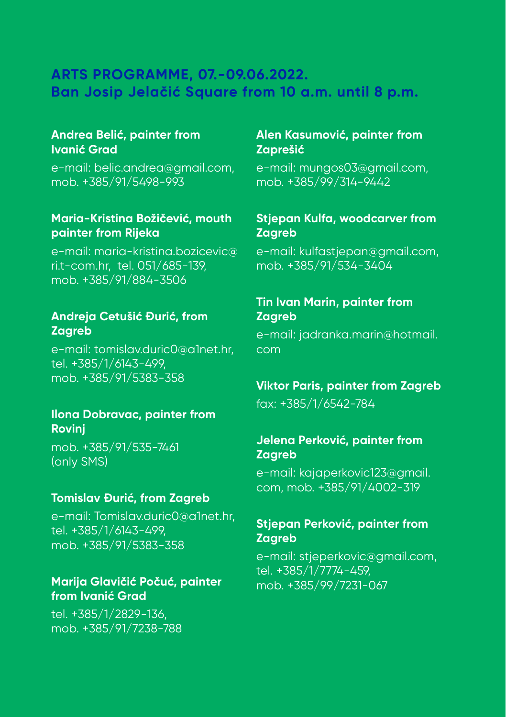### **ARTS PROGRAMME, 07.-09.06.2022. Ban Josip Jelačić Square from 10 a.m. until 8 p.m.**

#### **Andrea Belić, painter from Ivanić Grad**

e-mail: belic.andrea@gmail.com, mob. +385/91/5498-993

#### **Maria-Kristina Božičević, mouth painter from Rijeka**

e-mail: maria-kristina.bozicevic@ ri.t-com.hr, tel. 051/685-139, mob. +385/91/884-3506

#### **Andreja Cetušić Đurić, from Zagreb**

e-mail: tomislav.duric0@a1net.hr, tel. +385/1/6143-499, mob. +385/91/5383-358

#### **Ilona Dobravac, painter from Rovinj**

mob. +385/91/535-7461 (only SMS)

#### **Tomislav Đurić, from Zagreb**

e-mail: Tomislav.duric0@a1net.hr, tel. +385/1/6143-499, mob. +385/91/5383-358

#### **Marija Glavičić Počuć, painter from Ivanić Grad**

tel. +385/1/2829-136, mob. +385/91/7238-788

#### **Alen Kasumović, painter from Zaprešić**

e-mail: mungos03@gmail.com, mob. +385/99/314-9442

#### **Stjepan Kulfa, woodcarver from Zagreb**

e-mail: kulfastjepan@gmail.com, mob. +385/91/534-3404

#### **Tin Ivan Marin, painter from Zagreb**

e-mail: jadranka.marin@hotmail. com

#### **Viktor Paris, painter from Zagreb**

fax: +385/1/6542-784

#### **Jelena Perković, painter from Zagreb**

e-mail: kajaperkovic123@gmail. com, mob. +385/91/4002-319

#### **Stjepan Perković, painter from Zagreb**

e-mail: stjeperkovic@gmail.com, tel. +385/1/7774-459, mob. +385/99/7231-067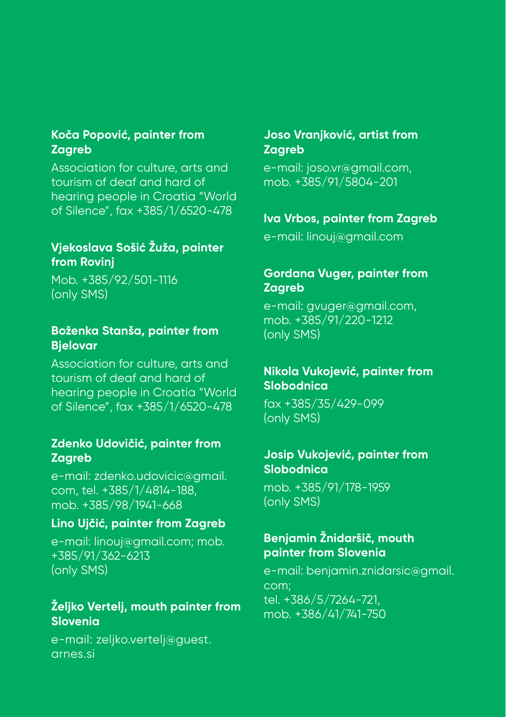#### **Koča Popović, painter from Zagreb**

Association for culture, arts and tourism of deaf and hard of hearing people in Croatia "World of Silence", fax +385/1/6520-478

#### **Vjekoslava Sošić Žuža, painter from Rovinj**

Mob. +385/92/501-1116 (only SMS)

#### **Boženka Stanša, painter from Bjelovar**

Association for culture, arts and tourism of deaf and hard of hearing people in Croatia "World of Silence", fax +385/1/6520-478

#### **Zdenko Udovičić, painter from Zagreb**

e-mail: zdenko.udovicic@gmail. com, tel. +385/1/4814-188, mob. +385/98/1941-668

#### **Lino Ujčić, painter from Zagreb**

e-mail: linouj@gmail.com; mob. +385/91/362-6213 (only SMS)

#### **Željko Vertelj, mouth painter from Slovenia**

e-mail: zeljko.vertelj@guest. arnes.si

#### **Joso Vranjković, artist from Zagreb**

e-mail: joso.vr@gmail.com, mob. +385/91/5804-201

#### **Iva Vrbos, painter from Zagreb**

e-mail: linouj@gmail.com

#### **Gordana Vuger, painter from Zagreb**

e-mail: gvuger@gmail.com, mob. +385/91/220-1212 (only SMS)

#### **Nikola Vukojević, painter from Slobodnica**

fax +385/35/429-099 (only SMS)

#### **Josip Vukojević, painter from Slobodnica**

mob. +385/91/178-1959 (only SMS)

#### **Benjamin Žnidaršič, mouth painter from Slovenia**

e-mail: benjamin.znidarsic@gmail. com; tel. +386/5/7264-721, mob. +386/41/741-750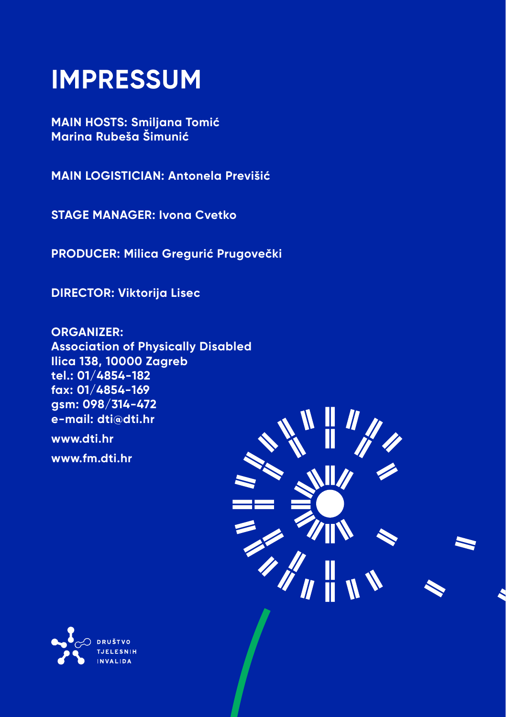# **IMPRESSUM**

**MAIN HOSTS: Smiljana Tomić Marina Rubeša Šimunić**

**MAIN LOGISTICIAN: Antonela Previšić**

**STAGE MANAGER: Ivona Cvetko**

**PRODUCER: Milica Gregurić Prugovečki**

**DIRECTOR: Viktorija Lisec**

**ORGANIZER: Association of Physically Disabled Ilica 138, 10000 Zagreb tel.: 01/4854-182 fax: 01/4854-169 gsm: 098/314-472 e-mail: dti@dti.hr www.dti.hr**

**www.fm.dti.hr**